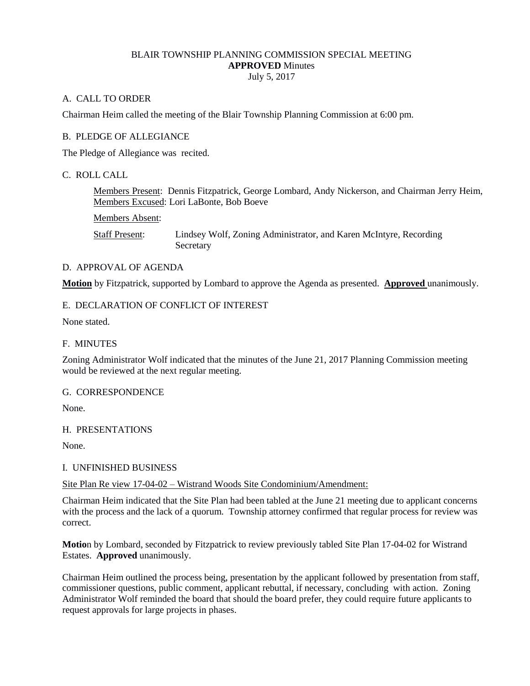## BLAIR TOWNSHIP PLANNING COMMISSION SPECIAL MEETING **APPROVED** Minutes July 5, 2017

# A. CALL TO ORDER

Chairman Heim called the meeting of the Blair Township Planning Commission at 6:00 pm.

## B. PLEDGE OF ALLEGIANCE

The Pledge of Allegiance was recited.

## C. ROLL CALL

Members Present: Dennis Fitzpatrick, George Lombard, Andy Nickerson, and Chairman Jerry Heim, Members Excused: Lori LaBonte, Bob Boeve

Members Absent:

Staff Present: Lindsey Wolf, Zoning Administrator, and Karen McIntyre, Recording **Secretary** 

## D. APPROVAL OF AGENDA

**Motion** by Fitzpatrick, supported by Lombard to approve the Agenda as presented. **Approved** unanimously.

## E. DECLARATION OF CONFLICT OF INTEREST

None stated.

### F. MINUTES

Zoning Administrator Wolf indicated that the minutes of the June 21, 2017 Planning Commission meeting would be reviewed at the next regular meeting.

#### G. CORRESPONDENCE

None.

#### H. PRESENTATIONS

None.

#### I. UNFINISHED BUSINESS

### Site Plan Re view 17-04-02 – Wistrand Woods Site Condominium/Amendment:

Chairman Heim indicated that the Site Plan had been tabled at the June 21 meeting due to applicant concerns with the process and the lack of a quorum. Township attorney confirmed that regular process for review was correct.

**Motio**n by Lombard, seconded by Fitzpatrick to review previously tabled Site Plan 17-04-02 for Wistrand Estates. **Approved** unanimously.

Chairman Heim outlined the process being, presentation by the applicant followed by presentation from staff, commissioner questions, public comment, applicant rebuttal, if necessary, concluding with action. Zoning Administrator Wolf reminded the board that should the board prefer, they could require future applicants to request approvals for large projects in phases.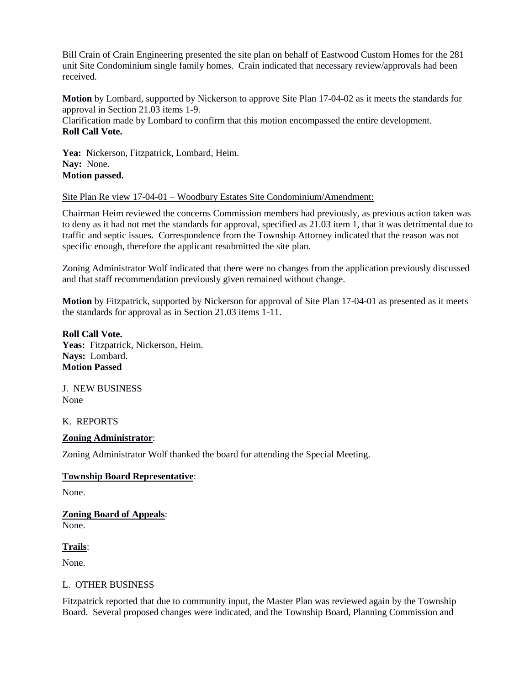Bill Crain of Crain Engineering presented the site plan on behalf of Eastwood Custom Homes for the 281 unit Site Condominium single family homes. Crain indicated that necessary review/approvals had been received.

**Motion** by Lombard, supported by Nickerson to approve Site Plan 17-04-02 as it meets the standards for approval in Section 21.03 items 1-9.

Clarification made by Lombard to confirm that this motion encompassed the entire development. **Roll Call Vote.**

**Yea:** Nickerson, Fitzpatrick, Lombard, Heim. **Nay:** None. **Motion passed.**

Site Plan Re view 17-04-01 – Woodbury Estates Site Condominium/Amendment:

Chairman Heim reviewed the concerns Commission members had previously, as previous action taken was to deny as it had not met the standards for approval, specified as 21.03 item 1, that it was detrimental due to traffic and septic issues. Correspondence from the Township Attorney indicated that the reason was not specific enough, therefore the applicant resubmitted the site plan.

Zoning Administrator Wolf indicated that there were no changes from the application previously discussed and that staff recommendation previously given remained without change.

**Motion** by Fitzpatrick, supported by Nickerson for approval of Site Plan 17-04-01 as presented as it meets the standards for approval as in Section 21.03 items 1-11.

**Roll Call Vote. Yeas:** Fitzpatrick, Nickerson, Heim. **Nays:** Lombard. **Motion Passed**

J. NEW BUSINESS None

K. REPORTS

## **Zoning Administrator**:

Zoning Administrator Wolf thanked the board for attending the Special Meeting.

## **Township Board Representative**:

None.

#### **Zoning Board of Appeals**: None.

**Trails**:

None.

#### L. OTHER BUSINESS

Fitzpatrick reported that due to community input, the Master Plan was reviewed again by the Township Board. Several proposed changes were indicated, and the Township Board, Planning Commission and